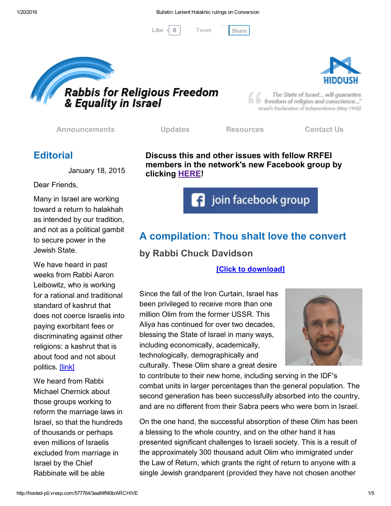[Tweet](https://twitter.com/intent/tweet?original_referer=http%3A%2F%2Fhosted-p0.vresp.com%2F577764%2F3ea84ff40b%2FARCHIVE&ref_src=twsrc%5Etfw&text=Bulletin%3A%20Lenient%20Halakhic%20rulings%20on%20Conversion%3A&tw_p=tweetbutton&url=http%3A%2F%2Fhosted-p0.vresp.com%2F577764%2F3ea84ff40b%2FARCHIVE%23.Vp7F4OeYjG4.twitter)

Like  $6$  Tweet [Share](javascript:void(0);)





The State of Israel... will guarantee freedom of religion and conscience..." Israel's Declaration of Independence (May 1948)

[Announcements](http://rrfei.org/announcements/) [Updates](http://rrfei.org/about/rrfei-updates/) [Resources](http://rrfei.org/resources/) [Contact](http://rrfei.org/contact-us/) Us

# **Editorial**

January 18, 2015

Dear Friends,

Many in Israel are working toward a return to halakhah as intended by our tradition, and not as a political gambit to secure power in the Jewish State.

We have heard in past weeks from Rabbi Aaron Leibowitz, who is working for a rational and traditional standard of kashrut that does not coerce Israelis into paying exorbitant fees or discriminating against other religions: a kashrut that is about food and not about politics. [\[link\]](http://rrfei.org/2015/12/hashgacha-pratit-an-alternative-kosher-supervision-model/)

We heard from Rabbi Michael Chernick about those groups working to reform the marriage laws in Israel, so that the hundreds of thousands or perhaps even millions of Israelis excluded from marriage in Israel by the Chief Rabbinate will be able

Discuss this and other issues with fellow RRFEI members in the network's new Facebook group by clicking **[HERE!](https://www.facebook.com/groups/132239560451232/)** 

**f** join facebook group

# A compilation: Thou shalt love the convert

by Rabbi Chuck Davidson

#### [Click to [download\]](http://rrfei.org/wp-content/uploads/2016/01/Thou-shalt-love-the-convert-HEB.pdf)

Since the fall of the Iron Curtain, Israel has been privileged to receive more than one million Olim from the former USSR. This Aliya has continued for over two decades, blessing the State of Israel in many ways, including economically, academically, technologically, demographically and culturally. These Olim share a great desire



to contribute to their new home, including serving in the IDF's combat units in larger percentages than the general population. The second generation has been successfully absorbed into the country, and are no different from their Sabra peers who were born in Israel.

On the one hand, the successful absorption of these Olim has been a blessing to the whole country, and on the other hand it has presented significant challenges to Israeli society. This is a result of the approximately 300 thousand adult Olim who immigrated under the Law of Return, which grants the right of return to anyone with a single Jewish grandparent (provided they have not chosen another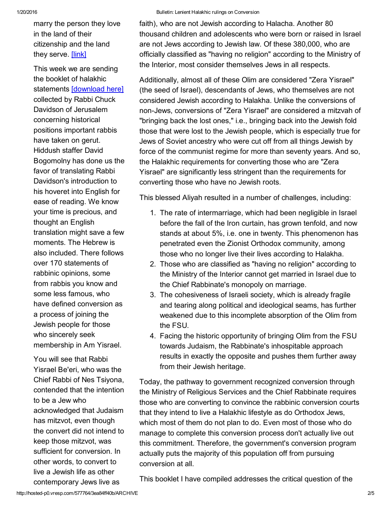marry the person they love in the land of their citizenship and the land they serve. [\[link\]](http://rrfei.org/2015/12/j-rec-and-rrfei-by-rabbi-dr-michael-chernick/)

This week we are sending the booklet of halakhic statements **[\[download](http://rrfei.org/wp-content/uploads/2016/01/Thou-shalt-love-the-convert-HEB.pdf) here]** collected by Rabbi Chuck Davidson of Jerusalem concerning historical positions important rabbis have taken on gerut. Hiddush staffer David Bogomolny has done us the favor of translating Rabbi Davidson's introduction to his hoveret into English for ease of reading. We know your time is precious, and thought an English translation might save a few moments. The Hebrew is also included. There follows over 170 statements of rabbinic opinions, some from rabbis you know and some less famous, who have defined conversion as a process of joining the Jewish people for those who sincerely seek membership in Am Yisrael.

You will see that Rabbi Yisrael Be'eri, who was the Chief Rabbi of Nes Tsiyona, contended that the intention to be a Jew who acknowledged that Judaism has mitzvot, even though the convert did not intend to keep those mitzvot, was sufficient for conversion. In other words, to convert to live a Jewish life as other contemporary Jews live as

faith), who are not Jewish according to Halacha. Another 80 thousand children and adolescents who were born or raised in Israel are not Jews according to Jewish law. Of these 380,000, who are officially classified as "having no religion" according to the Ministry of the Interior, most consider themselves Jews in all respects.

Additionally, almost all of these Olim are considered "Zera Yisrael" (the seed of Israel), descendants of Jews, who themselves are not considered Jewish according to Halakha. Unlike the conversions of non-Jews, conversions of "Zera Yisrael" are considered a mitzvah of "bringing back the lost ones," i.e., bringing back into the Jewish fold those that were lost to the Jewish people, which is especially true for Jews of Soviet ancestry who were cut off from all things Jewish by force of the communist regime for more than seventy years. And so, the Halakhic requirements for converting those who are "Zera Yisrael" are significantly less stringent than the requirements for converting those who have no Jewish roots.

This blessed Aliyah resulted in a number of challenges, including:

- 1. The rate of intermarriage, which had been negligible in Israel before the fall of the Iron curtain, has grown tenfold, and now stands at about 5%, i.e. one in twenty. This phenomenon has penetrated even the Zionist Orthodox community, among those who no longer live their lives according to Halakha.
- 2. Those who are classified as "having no religion" according to the Ministry of the Interior cannot get married in Israel due to the Chief Rabbinate's monopoly on marriage.
- 3. The cohesiveness of Israeli society, which is already fragile and tearing along political and ideological seams, has further weakened due to this incomplete absorption of the Olim from the FSU.
- 4. Facing the historic opportunity of bringing Olim from the FSU towards Judaism, the Rabbinate's inhospitable approach results in exactly the opposite and pushes them further away from their Jewish heritage.

Today, the pathway to government recognized conversion through the Ministry of Religious Services and the Chief Rabbinate requires those who are converting to convince the rabbinic conversion courts that they intend to live a Halakhic lifestyle as do Orthodox Jews, which most of them do not plan to do. Even most of those who do manage to complete this conversion process don't actually live out this commitment. Therefore, the government's conversion program actually puts the majority of this population off from pursuing conversion at all.

This booklet I have compiled addresses the critical question of the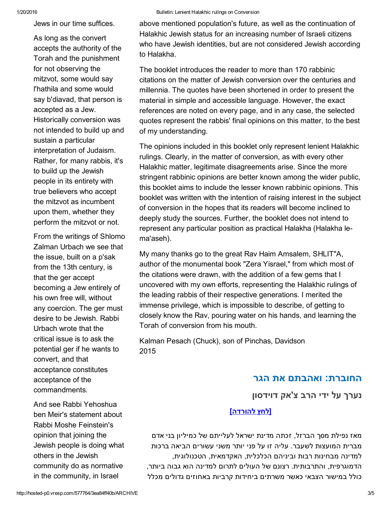Jews in our time suffices.

As long as the convert accepts the authority of the Torah and the punishment for not observing the mitzvot, some would say l'hathila and some would say b'diavad, that person is accepted as a Jew. Historically conversion was not intended to build up and sustain a particular interpretation of Judaism. Rather, for many rabbis, it's to build up the Jewish people in its entirety with true believers who accept the mitzvot as incumbent upon them, whether they perform the mitzvot or not.

From the writings of Shlomo Zalman Urbach we see that the issue, built on a p'sak from the 13th century, is that the ger accept becoming a Jew entirely of his own free will, without any coercion. The ger must desire to be Jewish. Rabbi Urbach wrote that the critical issue is to ask the potential ger if he wants to convert, and that acceptance constitutes acceptance of the commandments.

And see Rabbi Yehoshua ben Meir's statement about Rabbi Moshe Feinstein's opinion that joining the Jewish people is doing what others in the Jewish community do as normative in the community, in Israel

above mentioned population's future, as well as the continuation of Halakhic Jewish status for an increasing number of Israeli citizens who have Jewish identities, but are not considered Jewish according to Halakha.

The booklet introduces the reader to more than 170 rabbinic citations on the matter of Jewish conversion over the centuries and millennia. The quotes have been shortened in order to present the material in simple and accessible language. However, the exact references are noted on every page, and in any case, the selected quotes represent the rabbis' final opinions on this matter, to the best of my understanding.

The opinions included in this booklet only represent lenient Halakhic rulings. Clearly, in the matter of conversion, as with every other Halakhic matter, legitimate disagreements arise. Since the more stringent rabbinic opinions are better known among the wider public, this booklet aims to include the lesser known rabbinic opinions. This booklet was written with the intention of raising interest in the subject of conversion in the hopes that its readers will become inclined to deeply study the sources. Further, the booklet does not intend to represent any particular position as practical Halakha (Halakha lema'aseh).

My many thanks go to the great Rav Haim Amsalem, SHLIT"A, author of the monumental book "Zera Yisrael," from which most of the citations were drawn, with the addition of a few gems that I uncovered with my own efforts, representing the Halakhic rulings of the leading rabbis of their respective generations. I merited the immense privilege, which is impossible to describe, of getting to closely know the Rav, pouring water on his hands, and learning the Torah of conversion from his mouth.

Kalman Pesach (Chuck), son of Pinchas, Davidson 2015

## החוברת: ואהבתם את הגר

נערך על ידי הרב צ'אק דוידסון

#### [לחץ [להורדה\]](http://rrfei.org/wp-content/uploads/2016/01/Thou-shalt-love-the-convert-HEB.pdf)

מאז נפילת מסך הברזל, זכתה מדינת ישראל לעלייתם של כמיליון בני אדם מברית המועצות לשעבר. עליה זו על פני יותר משני עשורים הביאה ברכות למדינה מבחינות רבות וביניהם הכלכלית, האקדמאית, הטכנולוגית, הדמוגרפית, והתרבותית. רצונם של העולים לתרום למדינה הוא גבוה ביותר, כולל במישור הצבאי כאשר משרתים ביחידות קרביות באחוזים גדולים מכלל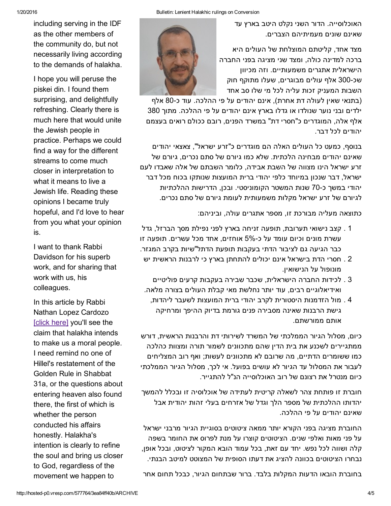האוכלוסייה. הדור השני נקלט היטב בארץ עד שאינם שונים מעמיתיהם הצברים.

מצד אחד, קליטתם המוצלחת של העולים היא ברכה למדינה כולה, ומצד שני מציגה בפני החברה הישראלית אתגרים משמעותיים. וזה מכיוון שכ300 אלף עולים מבוגרים, שעלו מתוקף חוק השבות המעניק זכות עליה לכל מי שלו סב אחד



(בתנאי שאין לעולה דת אחרת), אינם יהודים על פי ההלכה. עוד כ80 אלף ילדים ובני נוער שנולדו או גדלו בארץ אינם יהודים על פי ההלכה. מתוך 380 אלף אלה, המוגדרים כ"חסרי דת" במשרד הפנים, רובם ככולם רואים בעצמם יהודים לכל דבר.

בנוסף, כמעט כל העולים האלה הם מוגדרים כ"זרע ישראל", צאצאי יהודים שאינם יהודים מבחינה הלכתית. שלא כמו גיורם של סתם נכרים, גיורם של זרע ישראל הינו מצווה של השבת אבידה, כלומר השבתם של אלה שאבדו לעם ישראל, דבר שנכון במיוחד כלפי יהודי ברית המועצות שנותקו בכוח מכל דבר יהודי במשך כ70 שנות המשטר הקומוניסטי. ובכן, הדרישות ההלכתיות לגיורם של זרע ישראל מקלות משמעותית לעומת גיורם של סתם נכרים.

כתוצאה מעליה מבורכת זו, מספר אתגרים עולה, וביניהם:

- 1 . קצב נישואי תערובת, תופעה זניחה בארץ לפני נפילת מסך הברזל, גדל עשרת מונים וכיום עומד על כ5% אוחזים, אחד מכל עשרים. תופעה זו כבר הגיעה גם לציבור הדתי בעקבות תופעת הדתל"שיות בקרב המגזר.
- 2 . חסרי הדת בישראל אינם יכולים להתחתן בארץ כי לרבנות הראשית יש מונופול על הנישואין.
- 3 . לכידות החברה הישראלית, שכבר שבירה בעקבות קרעים פוליטיים ואידיאלוגיים רבים, עוד יותר נחלשת מאי קבלת העולים בצורה מלאה.
	- 4 . מול הזדמנות היסטורית לקרב יהודי ברית המועצות לשעבר ליהדות, גישת הרבנות שאינה מסבירה פנים גורמת בדיוק ההיפך ומרחיקה אותם ממורשתם.

כיום, מסלול הגיור הממלכתי של המשרד לשירותי דת והרבנות הראשית, דורש ממתגיירים לשכנע את בית הדין שהם מתכוונים לשמור תורה ומצוות כהלכה כמו ששומרים הדתיים, מה שרובם לא מתכוונים לעשות; ואף רוב המצליחים לעבור את המסלול עד הגיור לא עושים בפועל. אי לכך, מסלול הגיור הממלכתי כיום מנטרל את רצונם של רוב האוכלוסייה הנ"ל להתגייר.

חוברת זו פותחת צהר לשאלה קריטית לעתידה של אוכלוסיה זו ובכלל להמשך יהדותו ההלכתית של מספר הלך וגדל של אזרחים בעלי זהות יהודית אבל שאינם יהודים על פי ההלכה.

החוברת מציגה בפני הקורא יותר ממאה ציטוטים בסוגיית הגיור מרבני ישראל על פני מאות ואלפי שנים. הציטוטים קוצרו על מנת לפרוס את החומר בשפה קלה ושווה לכל נפש. יחד עם זאת, בכל עמוד הובא המקור לציטוט, ובכל אופן, נבחרו הציטוטים בכוונה להציג את דעתו הסופית של המצוטט למיטב הבנתי.

בחוברת הובאו הדעות המקלות בלבד. ברור שבתחום הגיור, כבכל תחום אחר

including serving in the IDF as the other members of the community do, but not necessarily living according to the demands of halakha.

I hope you will peruse the piskei din. I found them surprising, and delightfully refreshing. Clearly there is much here that would unite the Jewish people in practice. Perhaps we could find a way for the different streams to come much closer in interpretation to what it means to live a Jewish life. Reading these opinions I became truly hopeful, and I'd love to hear from you what your opinion is.

I want to thank Rabbi Davidson for his superb work, and for sharing that work with us, his colleagues.

In this article by Rabbi Nathan Lopez Cardozo [click [here\]](http://blogs.timesofisrael.com/the-abuse-of-halacha/) you'll see the claim that halakha intends to make us a moral people. I need remind no one of Hillel's restatement of the Golden Rule in Shabbat 31a, or the questions about entering heaven also found there, the first of which is whether the person conducted his affairs honestly. Halakha's intention is clearly to refine the soul and bring us closer to God, regardless of the movement we happen to